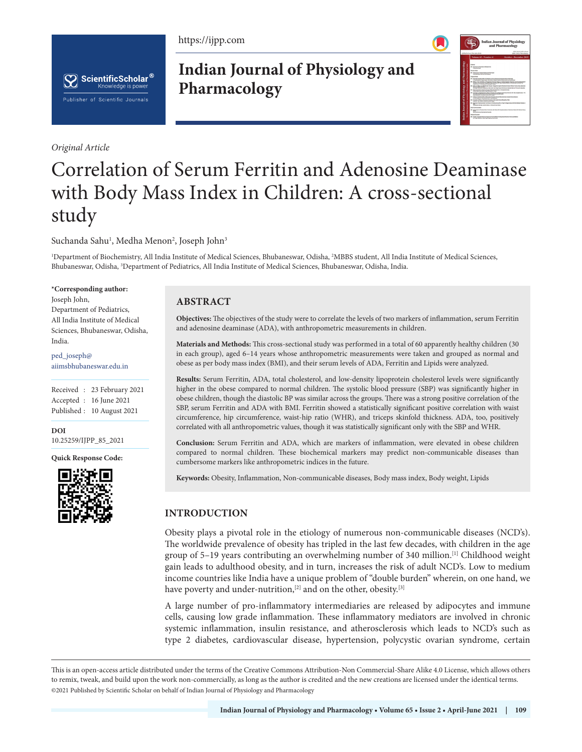https://ijpp.com





*Original Article*

**Indian Journal of Physiology and Pharmacology**



# Correlation of Serum Ferritin and Adenosine Deaminase with Body Mass Index in Children: A cross-sectional study

Suchanda Sahu<sup>1</sup>, Medha Menon<sup>2</sup>, Joseph John<sup>3</sup>

<sup>1</sup>Department of Biochemistry, All India Institute of Medical Sciences, Bhubaneswar, Odisha, <sup>2</sup>MBBS student, All India Institute of Medical Sciences, Bhubaneswar, Odisha, 3 Department of Pediatrics, All India Institute of Medical Sciences, Bhubaneswar, Odisha, India.

#### **\*Corresponding author:**

Joseph John, Department of Pediatrics, All India Institute of Medical Sciences, Bhubaneswar, Odisha, India.

ped\_joseph@ aiimsbhubaneswar.edu.in

Received : 23 February 2021 Accepted : 16 June 2021 Published : 10 August 2021

**DOI** [10.25259/IJPP\\_85\\_2021](https://dx.doi.org/10.25259/IJPP_85_2021)

**Quick Response Code:**



# **ABSTRACT**

**Objectives:** The objectives of the study were to correlate the levels of two markers of inflammation, serum Ferritin and adenosine deaminase (ADA), with anthropometric measurements in children.

**Materials and Methods:** This cross-sectional study was performed in a total of 60 apparently healthy children (30 in each group), aged 6–14 years whose anthropometric measurements were taken and grouped as normal and obese as per body mass index (BMI), and their serum levels of ADA, Ferritin and Lipids were analyzed.

**Results:** Serum Ferritin, ADA, total cholesterol, and low-density lipoprotein cholesterol levels were significantly higher in the obese compared to normal children. The systolic blood pressure (SBP) was significantly higher in obese children, though the diastolic BP was similar across the groups. There was a strong positive correlation of the SBP, serum Ferritin and ADA with BMI. Ferritin showed a statistically significant positive correlation with waist circumference, hip circumference, waist-hip ratio (WHR), and triceps skinfold thickness. ADA, too, positively correlated with all anthropometric values, though it was statistically significant only with the SBP and WHR.

**Conclusion:** Serum Ferritin and ADA, which are markers of inflammation, were elevated in obese children compared to normal children. These biochemical markers may predict non-communicable diseases than cumbersome markers like anthropometric indices in the future.

**Keywords:** Obesity, Inflammation, Non-communicable diseases, Body mass index, Body weight, Lipids

# **INTRODUCTION**

Obesity plays a pivotal role in the etiology of numerous non-communicable diseases (NCD's). The worldwide prevalence of obesity has tripled in the last few decades, with children in the age group of 5–19 years contributing an overwhelming number of 340 million.[1] Childhood weight gain leads to adulthood obesity, and in turn, increases the risk of adult NCD's. Low to medium income countries like India have a unique problem of "double burden" wherein, on one hand, we have poverty and under-nutrition,<sup>[2]</sup> and on the other, obesity.<sup>[3]</sup>

A large number of pro-inflammatory intermediaries are released by adipocytes and immune cells, causing low grade inflammation. These inflammatory mediators are involved in chronic systemic inflammation, insulin resistance, and atherosclerosis which leads to NCD's such as type 2 diabetes, cardiovascular disease, hypertension, polycystic ovarian syndrome, certain

This is an open-access article distributed under the terms of the Creative Commons Attribution-Non Commercial-Share Alike 4.0 License, which allows others to remix, tweak, and build upon the work non-commercially, as long as the author is credited and the new creations are licensed under the identical terms. ©2021 Published by Scientific Scholar on behalf of Indian Journal of Physiology and Pharmacology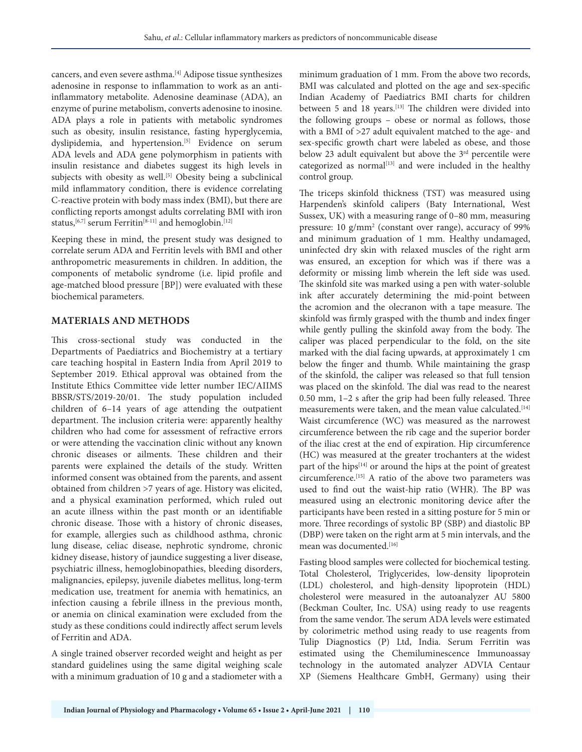cancers, and even severe asthma.[4] Adipose tissue synthesizes adenosine in response to inflammation to work as an antiinflammatory metabolite. Adenosine deaminase (ADA), an enzyme of purine metabolism, converts adenosine to inosine. ADA plays a role in patients with metabolic syndromes such as obesity, insulin resistance, fasting hyperglycemia, dyslipidemia, and hypertension.<sup>[5]</sup> Evidence on serum ADA levels and ADA gene polymorphism in patients with insulin resistance and diabetes suggest its high levels in subjects with obesity as well.<sup>[5]</sup> Obesity being a subclinical mild inflammatory condition, there is evidence correlating C-reactive protein with body mass index (BMI), but there are conflicting reports amongst adults correlating BMI with iron status,<sup>[6,7]</sup> serum Ferritin<sup>[8-11]</sup> and hemoglobin.<sup>[12]</sup>

Keeping these in mind, the present study was designed to correlate serum ADA and Ferritin levels with BMI and other anthropometric measurements in children. In addition, the components of metabolic syndrome (i.e. lipid profile and age-matched blood pressure [BP]) were evaluated with these biochemical parameters.

## **MATERIALS AND METHODS**

This cross-sectional study was conducted in the Departments of Paediatrics and Biochemistry at a tertiary care teaching hospital in Eastern India from April 2019 to September 2019. Ethical approval was obtained from the Institute Ethics Committee vide letter number IEC/AIIMS BBSR/STS/2019-20/01. The study population included children of 6–14 years of age attending the outpatient department. The inclusion criteria were: apparently healthy children who had come for assessment of refractive errors or were attending the vaccination clinic without any known chronic diseases or ailments. These children and their parents were explained the details of the study. Written informed consent was obtained from the parents, and assent obtained from children >7 years of age. History was elicited, and a physical examination performed, which ruled out an acute illness within the past month or an identifiable chronic disease. Those with a history of chronic diseases, for example, allergies such as childhood asthma, chronic lung disease, celiac disease, nephrotic syndrome, chronic kidney disease, history of jaundice suggesting a liver disease, psychiatric illness, hemoglobinopathies, bleeding disorders, malignancies, epilepsy, juvenile diabetes mellitus, long-term medication use, treatment for anemia with hematinics, an infection causing a febrile illness in the previous month, or anemia on clinical examination were excluded from the study as these conditions could indirectly affect serum levels of Ferritin and ADA.

A single trained observer recorded weight and height as per standard guidelines using the same digital weighing scale with a minimum graduation of 10 g and a stadiometer with a minimum graduation of 1 mm. From the above two records, BMI was calculated and plotted on the age and sex-specific Indian Academy of Paediatrics BMI charts for children between 5 and 18 years.<sup>[13]</sup> The children were divided into the following groups – obese or normal as follows, those with a BMI of >27 adult equivalent matched to the age- and sex-specific growth chart were labeled as obese, and those below 23 adult equivalent but above the 3<sup>rd</sup> percentile were categorized as normal<sup>[13]</sup> and were included in the healthy control group.

The triceps skinfold thickness (TST) was measured using Harpenden's skinfold calipers (Baty International, West Sussex, UK) with a measuring range of 0–80 mm, measuring pressure: 10 g/mm<sup>2</sup> (constant over range), accuracy of 99% and minimum graduation of 1 mm. Healthy undamaged, uninfected dry skin with relaxed muscles of the right arm was ensured, an exception for which was if there was a deformity or missing limb wherein the left side was used. The skinfold site was marked using a pen with water-soluble ink after accurately determining the mid-point between the acromion and the olecranon with a tape measure. The skinfold was firmly grasped with the thumb and index finger while gently pulling the skinfold away from the body. The caliper was placed perpendicular to the fold, on the site marked with the dial facing upwards, at approximately 1 cm below the finger and thumb. While maintaining the grasp of the skinfold, the caliper was released so that full tension was placed on the skinfold. The dial was read to the nearest 0.50 mm, 1–2 s after the grip had been fully released. Three measurements were taken, and the mean value calculated.<sup>[14]</sup> Waist circumference (WC) was measured as the narrowest circumference between the rib cage and the superior border of the iliac crest at the end of expiration. Hip circumference (HC) was measured at the greater trochanters at the widest part of the hips $[14]$  or around the hips at the point of greatest circumference.[15] A ratio of the above two parameters was used to find out the waist-hip ratio (WHR). The BP was measured using an electronic monitoring device after the participants have been rested in a sitting posture for 5 min or more. Three recordings of systolic BP (SBP) and diastolic BP (DBP) were taken on the right arm at 5 min intervals, and the mean was documented.[16]

Fasting blood samples were collected for biochemical testing. Total Cholesterol, Triglycerides, low-density lipoprotein (LDL) cholesterol, and high-density lipoprotein (HDL) cholesterol were measured in the autoanalyzer AU 5800 (Beckman Coulter, Inc. USA) using ready to use reagents from the same vendor. The serum ADA levels were estimated by colorimetric method using ready to use reagents from Tulip Diagnostics (P) Ltd, India. Serum Ferritin was estimated using the Chemiluminescence Immunoassay technology in the automated analyzer ADVIA Centaur XP (Siemens Healthcare GmbH, Germany) using their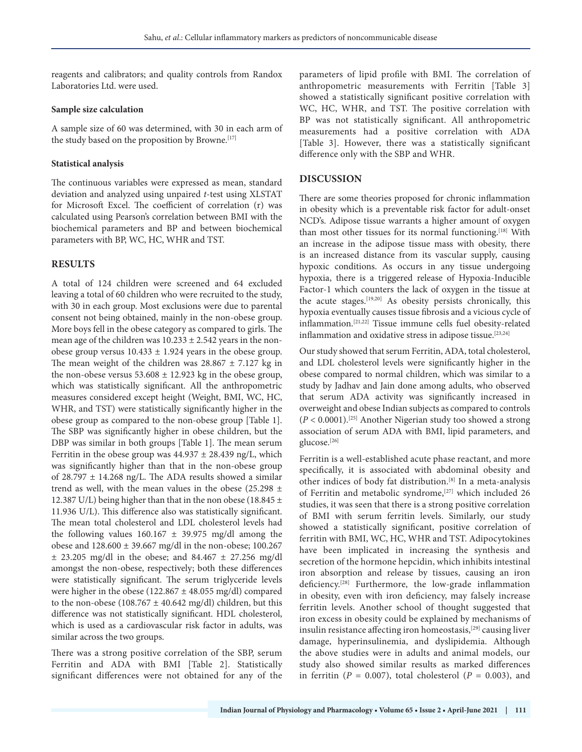reagents and calibrators; and quality controls from Randox Laboratories Ltd. were used.

### **Sample size calculation**

A sample size of 60 was determined, with 30 in each arm of the study based on the proposition by Browne.<sup>[17]</sup>

## **Statistical analysis**

The continuous variables were expressed as mean, standard deviation and analyzed using unpaired *t*-test using XLSTAT for Microsoft Excel. The coefficient of correlation (r) was calculated using Pearson's correlation between BMI with the biochemical parameters and BP and between biochemical parameters with BP, WC, HC, WHR and TST.

# **RESULTS**

A total of 124 children were screened and 64 excluded leaving a total of 60 children who were recruited to the study, with 30 in each group. Most exclusions were due to parental consent not being obtained, mainly in the non-obese group. More boys fell in the obese category as compared to girls. The mean age of the children was  $10.233 \pm 2.542$  years in the nonobese group versus  $10.433 \pm 1.924$  years in the obese group. The mean weight of the children was  $28.867 \pm 7.127$  kg in the non-obese versus  $53.608 \pm 12.923$  kg in the obese group, which was statistically significant. All the anthropometric measures considered except height (Weight, BMI, WC, HC, WHR, and TST) were statistically significantly higher in the obese group as compared to the non-obese group [Table 1]. The SBP was significantly higher in obese children, but the DBP was similar in both groups [Table 1]. The mean serum Ferritin in the obese group was  $44.937 \pm 28.439$  ng/L, which was significantly higher than that in the non-obese group of 28.797  $\pm$  14.268 ng/L. The ADA results showed a similar trend as well, with the mean values in the obese  $(25.298 \pm$ 12.387 U/L) being higher than that in the non obese (18.845  $\pm$ 11.936 U/L). This difference also was statistically significant. The mean total cholesterol and LDL cholesterol levels had the following values  $160.167 \pm 39.975$  mg/dl among the obese and 128.600 ± 39.667 mg/dl in the non-obese; 100.267  $± 23.205$  mg/dl in the obese; and  $84.467 \pm 27.256$  mg/dl amongst the non-obese, respectively; both these differences were statistically significant. The serum triglyceride levels were higher in the obese (122.867  $\pm$  48.055 mg/dl) compared to the non-obese (108.767  $\pm$  40.642 mg/dl) children, but this difference was not statistically significant. HDL cholesterol, which is used as a cardiovascular risk factor in adults, was similar across the two groups.

There was a strong positive correlation of the SBP, serum Ferritin and ADA with BMI [Table 2]. Statistically significant differences were not obtained for any of the parameters of lipid profile with BMI. The correlation of anthropometric measurements with Ferritin [Table 3] showed a statistically significant positive correlation with WC, HC, WHR, and TST. The positive correlation with BP was not statistically significant. All anthropometric measurements had a positive correlation with ADA [Table 3]. However, there was a statistically significant difference only with the SBP and WHR.

## **DISCUSSION**

There are some theories proposed for chronic inflammation in obesity which is a preventable risk factor for adult-onset NCD's. Adipose tissue warrants a higher amount of oxygen than most other tissues for its normal functioning.<sup>[18]</sup> With an increase in the adipose tissue mass with obesity, there is an increased distance from its vascular supply, causing hypoxic conditions. As occurs in any tissue undergoing hypoxia, there is a triggered release of Hypoxia-Inducible Factor-1 which counters the lack of oxygen in the tissue at the acute stages.[19,20] As obesity persists chronically, this hypoxia eventually causes tissue fibrosis and a vicious cycle of inflammation.[21,22] Tissue immune cells fuel obesity-related inflammation and oxidative stress in adipose tissue.<sup>[23,24]</sup>

Our study showed that serum Ferritin, ADA, total cholesterol, and LDL cholesterol levels were significantly higher in the obese compared to normal children, which was similar to a study by Jadhav and Jain done among adults, who observed that serum ADA activity was significantly increased in overweight and obese Indian subjects as compared to controls (*P* < 0.0001).[25] Another Nigerian study too showed a strong association of serum ADA with BMI, lipid parameters, and glucose.<sup>[26]</sup>

Ferritin is a well-established acute phase reactant, and more specifically, it is associated with abdominal obesity and other indices of body fat distribution.[8] In a meta-analysis of Ferritin and metabolic syndrome,<sup>[27]</sup> which included 26 studies, it was seen that there is a strong positive correlation of BMI with serum ferritin levels. Similarly, our study showed a statistically significant, positive correlation of ferritin with BMI, WC, HC, WHR and TST. Adipocytokines have been implicated in increasing the synthesis and secretion of the hormone hepcidin, which inhibits intestinal iron absorption and release by tissues, causing an iron deficiency.[28] Furthermore, the low-grade inflammation in obesity, even with iron deficiency, may falsely increase ferritin levels. Another school of thought suggested that iron excess in obesity could be explained by mechanisms of insulin resistance affecting iron homeostasis,<sup>[29]</sup> causing liver damage, hyperinsulinemia, and dyslipidemia. Although the above studies were in adults and animal models, our study also showed similar results as marked differences in ferritin ( $P = 0.007$ ), total cholesterol ( $P = 0.003$ ), and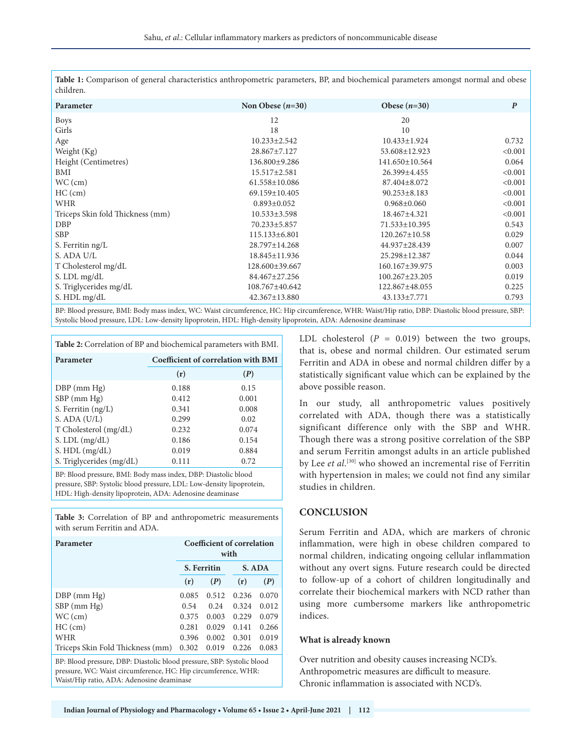**Table 1:** Comparison of general characteristics anthropometric parameters, BP, and biochemical parameters amongst normal and obese children.

| Parameter                                                                                                                                           | Non Obese $(n=30)$ | Obese $(n=30)$     | $\boldsymbol{P}$ |
|-----------------------------------------------------------------------------------------------------------------------------------------------------|--------------------|--------------------|------------------|
| <b>Boys</b>                                                                                                                                         | 12                 | 20                 |                  |
| Girls                                                                                                                                               | 18                 | 10                 |                  |
| Age                                                                                                                                                 | $10.233 \pm 2.542$ | $10.433 \pm 1.924$ | 0.732            |
| Weight (Kg)                                                                                                                                         | 28.867±7.127       | 53.608±12.923      | < 0.001          |
| Height (Centimetres)                                                                                                                                | 136.800±9.286      | 141.650±10.564     | 0.064            |
| BMI                                                                                                                                                 | 15.517±2.581       | 26.399±4.455       | < 0.001          |
| $WC$ (cm)                                                                                                                                           | 61.558±10.086      | 87.404±8.072       | < 0.001          |
| $HC$ (cm)                                                                                                                                           | 69.159±10.405      | $90.253 \pm 8.183$ | < 0.001          |
| <b>WHR</b>                                                                                                                                          | $0.893 \pm 0.052$  | $0.968 \pm 0.060$  | < 0.001          |
| Triceps Skin fold Thickness (mm)                                                                                                                    | $10.533 \pm 3.598$ | 18.467±4.321       | < 0.001          |
| <b>DBP</b>                                                                                                                                          | 70.233±5.857       | 71.533±10.395      | 0.543            |
| <b>SBP</b>                                                                                                                                          | 115.133±6.801      | 120.267±10.58      | 0.029            |
| S. Ferritin ng/L                                                                                                                                    | 28.797±14.268      | 44.937±28.439      | 0.007            |
| S. ADA U/L                                                                                                                                          | 18.845±11.936      | 25.298±12.387      | 0.044            |
| T Cholesterol mg/dL                                                                                                                                 | 128.600±39.667     | 160.167±39.975     | 0.003            |
| S. LDL mg/dL                                                                                                                                        | 84.467±27.256      | 100.267±23.205     | 0.019            |
| S. Triglycerides mg/dL                                                                                                                              | 108.767±40.642     | 122.867±48.055     | 0.225            |
| S. HDL mg/dL                                                                                                                                        | 42.367±13.880      | 43.133±7.771       | 0.793            |
| BP: Blood pressure, BMI: Body mass index, WC: Waist circumference, HC: Hip circumference, WHR: Waist/Hip ratio, DBP: Diastolic blood pressure, SBP: |                    |                    |                  |

BP: Blood pressure, BMI: Body mass index, WC: Waist circumference, HC: Hip circumference, WHR: Waist/Hip ratio, DBP: Diastolic blood pressure, SBP: Systolic blood pressure, LDL: Low-density lipoprotein, HDL: High-density lipoprotein, ADA: Adenosine deaminase

| Table 2: Correlation of BP and biochemical parameters with BMI. |                                            |       |  |  |  |  |
|-----------------------------------------------------------------|--------------------------------------------|-------|--|--|--|--|
| Parameter                                                       | <b>Coefficient of correlation with BMI</b> |       |  |  |  |  |
|                                                                 | (r)                                        | (P)   |  |  |  |  |
| $DBP$ (mm $Hg$ )                                                | 0.188                                      | 0.15  |  |  |  |  |
| $SBP$ (mm $Hg$ )                                                | 0.412                                      | 0.001 |  |  |  |  |
| S. Ferritin (ng/L)                                              | 0.341                                      | 0.008 |  |  |  |  |
| $S.$ ADA $(U/L)$                                                | 0.299                                      | 0.02  |  |  |  |  |
| T Cholesterol (mg/dL)                                           | 0.232                                      | 0.074 |  |  |  |  |
| $S.$ LDL $(mg/dL)$                                              | 0.186                                      | 0.154 |  |  |  |  |

BP: Blood pressure, BMI: Body mass index, DBP: Diastolic blood pressure, SBP: Systolic blood pressure, LDL: Low-density lipoprotein, HDL: High-density lipoprotein, ADA: Adenosine deaminase

S. HDL (mg/dL) 0.019 0.884 S. Triglycerides  $(mg/dL)$  0.111 0.72

**Table 3:** Correlation of BP and anthropometric measurements with serum Ferritin and ADA.

| Coefficient of correlation<br>Parameter<br>with                                                                                                                                       |             |       |        |       |  |  |
|---------------------------------------------------------------------------------------------------------------------------------------------------------------------------------------|-------------|-------|--------|-------|--|--|
|                                                                                                                                                                                       | S. Ferritin |       | S. ADA |       |  |  |
|                                                                                                                                                                                       | (r)         | (P)   | (r)    | (P)   |  |  |
| $DBP$ (mm $Hg$ )                                                                                                                                                                      | 0.085       | 0.512 | 0.236  | 0.070 |  |  |
| $SBP$ (mm $Hg$ )                                                                                                                                                                      | 0.54        | 0.24  | 0.324  | 0.012 |  |  |
| $WC$ (cm)                                                                                                                                                                             | 0.375       | 0.003 | 0.229  | 0.079 |  |  |
| $HC$ (cm)                                                                                                                                                                             | 0.281       | 0.029 | 0.141  | 0.266 |  |  |
| WHR                                                                                                                                                                                   | 0.396       | 0.002 | 0.301  | 0.019 |  |  |
| Triceps Skin Fold Thickness (mm)                                                                                                                                                      | 0.302       | 0.019 | 0.226  | 0.083 |  |  |
| BP: Blood pressure, DBP: Diastolic blood pressure, SBP: Systolic blood<br>pressure, WC: Waist circumference, HC: Hip circumference, WHR:<br>Waist/Hip ratio, ADA: Adenosine deaminase |             |       |        |       |  |  |

LDL cholesterol  $(P = 0.019)$  between the two groups, that is, obese and normal children. Our estimated serum Ferritin and ADA in obese and normal children differ by a statistically significant value which can be explained by the above possible reason.

In our study, all anthropometric values positively correlated with ADA, though there was a statistically significant difference only with the SBP and WHR. Though there was a strong positive correlation of the SBP and serum Ferritin amongst adults in an article published by Lee *et al*. [30] who showed an incremental rise of Ferritin with hypertension in males; we could not find any similar studies in children.

# **CONCLUSION**

Serum Ferritin and ADA, which are markers of chronic inflammation, were high in obese children compared to normal children, indicating ongoing cellular inflammation without any overt signs. Future research could be directed to follow-up of a cohort of children longitudinally and correlate their biochemical markers with NCD rather than using more cumbersome markers like anthropometric indices.

#### **What is already known**

Over nutrition and obesity causes increasing NCD's. Anthropometric measures are difficult to measure. Chronic inflammation is associated with NCD's.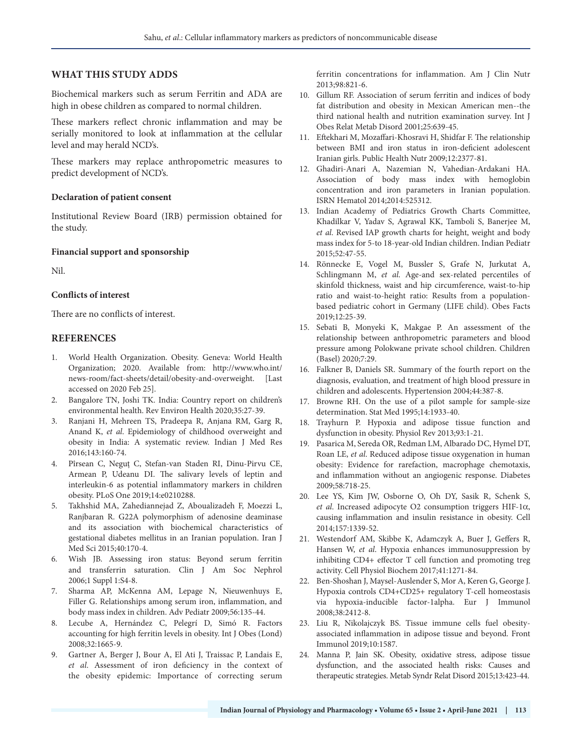## **WHAT THIS STUDY ADDS**

Biochemical markers such as serum Ferritin and ADA are high in obese children as compared to normal children.

These markers reflect chronic inflammation and may be serially monitored to look at inflammation at the cellular level and may herald NCD's.

These markers may replace anthropometric measures to predict development of NCD's.

#### **Declaration of patient consent**

Institutional Review Board (IRB) permission obtained for the study.

#### **Financial support and sponsorship**

Nil.

## **Conflicts of interest**

There are no conflicts of interest.

#### **REFERENCES**

- 1. World Health Organization. Obesity. Geneva: World Health Organization; 2020. Available from: http://www.who.int/ news-room/fact-sheets/detail/obesity-and-overweight. [Last accessed on 2020 Feb 25].
- 2. Bangalore TN, Joshi TK. India: Country report on children's environmental health. Rev Environ Health 2020;35:27-39.
- 3. Ranjani H, Mehreen TS, Pradeepa R, Anjana RM, Garg R, Anand K, *et al*. Epidemiology of childhood overweight and obesity in India: A systematic review. Indian J Med Res 2016;143:160-74.
- 4. Pîrsean C, Neguț C, Stefan-van Staden RI, Dinu-Pirvu CE, Armean P, Udeanu DI. The salivary levels of leptin and interleukin-6 as potential inflammatory markers in children obesity. PLoS One 2019;14:e0210288.
- 5. Takhshid MA, Zahediannejad Z, Aboualizadeh F, Moezzi L, Ranjbaran R. G22A polymorphism of adenosine deaminase and its association with biochemical characteristics of gestational diabetes mellitus in an Iranian population. Iran J Med Sci 2015;40:170-4.
- 6. Wish JB. Assessing iron status: Beyond serum ferritin and transferrin saturation. Clin J Am Soc Nephrol 2006;1 Suppl 1:S4-8.
- 7. Sharma AP, McKenna AM, Lepage N, Nieuwenhuys E, Filler G. Relationships among serum iron, inflammation, and body mass index in children. Adv Pediatr 2009;56:135-44.
- 8. Lecube A, Hernández C, Pelegrí D, Simó R. Factors accounting for high ferritin levels in obesity. Int J Obes (Lond) 2008;32:1665-9.
- 9. Gartner A, Berger J, Bour A, El Ati J, Traissac P, Landais E, *et al*. Assessment of iron deficiency in the context of the obesity epidemic: Importance of correcting serum

ferritin concentrations for inflammation. Am J Clin Nutr 2013;98:821-6.

- 10. Gillum RF. Association of serum ferritin and indices of body fat distribution and obesity in Mexican American men--the third national health and nutrition examination survey. Int J Obes Relat Metab Disord 2001;25:639-45.
- 11. Eftekhari M, Mozaffari-Khosravi H, Shidfar F. The relationship between BMI and iron status in iron-deficient adolescent Iranian girls. Public Health Nutr 2009;12:2377-81.
- 12. Ghadiri-Anari A, Nazemian N, Vahedian-Ardakani HA. Association of body mass index with hemoglobin concentration and iron parameters in Iranian population. ISRN Hematol 2014;2014:525312.
- 13. Indian Academy of Pediatrics Growth Charts Committee, Khadilkar V, Yadav S, Agrawal KK, Tamboli S, Banerjee M, *et al*. Revised IAP growth charts for height, weight and body mass index for 5-to 18-year-old Indian children. Indian Pediatr 2015;52:47-55.
- 14. Rönnecke E, Vogel M, Bussler S, Grafe N, Jurkutat A, Schlingmann M, *et al*. Age-and sex-related percentiles of skinfold thickness, waist and hip circumference, waist-to-hip ratio and waist-to-height ratio: Results from a populationbased pediatric cohort in Germany (LIFE child). Obes Facts 2019;12:25-39.
- 15. Sebati B, Monyeki K, Makgae P. An assessment of the relationship between anthropometric parameters and blood pressure among Polokwane private school children. Children (Basel) 2020;7:29.
- 16. Falkner B, Daniels SR. Summary of the fourth report on the diagnosis, evaluation, and treatment of high blood pressure in children and adolescents. Hypertension 2004;44:387-8.
- 17. Browne RH. On the use of a pilot sample for sample-size determination. Stat Med 1995;14:1933-40.
- 18. Trayhurn P. Hypoxia and adipose tissue function and dysfunction in obesity. Physiol Rev 2013;93:1-21.
- 19. Pasarica M, Sereda OR, Redman LM, Albarado DC, Hymel DT, Roan LE, *et al*. Reduced adipose tissue oxygenation in human obesity: Evidence for rarefaction, macrophage chemotaxis, and inflammation without an angiogenic response. Diabetes 2009;58:718-25.
- 20. Lee YS, Kim JW, Osborne O, Oh DY, Sasik R, Schenk S, *et al*. Increased adipocyte O2 consumption triggers HIF-1α, causing inflammation and insulin resistance in obesity. Cell 2014;157:1339-52.
- 21. Westendorf AM, Skibbe K, Adamczyk A, Buer J, Geffers R, Hansen W, *et al*. Hypoxia enhances immunosuppression by inhibiting CD4+ effector T cell function and promoting treg activity. Cell Physiol Biochem 2017;41:1271-84.
- 22. Ben-Shoshan J, Maysel-Auslender S, Mor A, Keren G, George J. Hypoxia controls CD4+CD25+ regulatory T-cell homeostasis via hypoxia-inducible factor-1alpha. Eur J Immunol 2008;38:2412-8.
- 23. Liu R, Nikolajczyk BS. Tissue immune cells fuel obesityassociated inflammation in adipose tissue and beyond. Front Immunol 2019;10:1587.
- 24. Manna P, Jain SK. Obesity, oxidative stress, adipose tissue dysfunction, and the associated health risks: Causes and therapeutic strategies. Metab Syndr Relat Disord 2015;13:423-44.